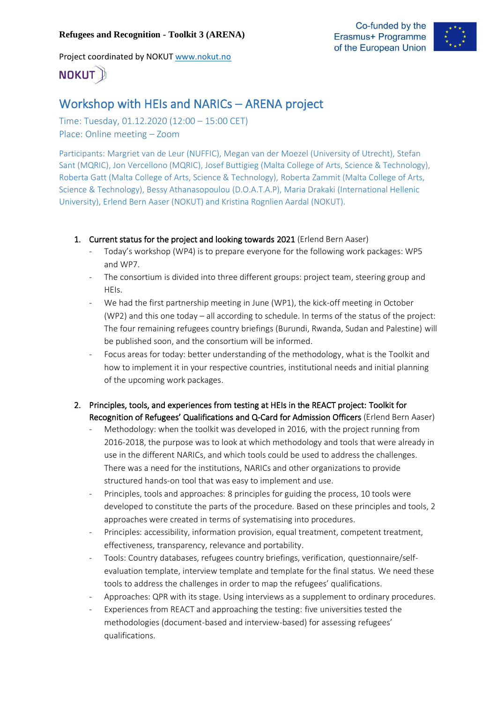#### **Refugees and Recognition - Toolkit 3 (ARENA)**

Project coordinated by NOKUT [www.nokut.no](http://www.nokut.no/)





# **NOKUT**

# Workshop with HEIs and NARICs – ARENA project

Time: Tuesday, 01.12.2020 (12:00 – 15:00 CET) Place: Online meeting – Zoom

Participants: Margriet van de Leur (NUFFIC), Megan van der Moezel (University of Utrecht), Stefan Sant (MQRIC), Jon Vercellono (MQRIC), Josef Buttigieg (Malta College of Arts, Science & Technology), Roberta Gatt (Malta College of Arts, Science & Technology), Roberta Zammit (Malta College of Arts, Science & Technology), Bessy Athanasopoulou (D.O.A.T.A.P), Maria Drakaki (International Hellenic University), Erlend Bern Aaser (NOKUT) and Kristina Rognlien Aardal (NOKUT).

- 1. Current status for the project and looking towards 2021 (Erlend Bern Aaser)
	- Today's workshop (WP4) is to prepare everyone for the following work packages: WP5 and WP7.
	- The consortium is divided into three different groups: project team, steering group and HEIs.
	- We had the first partnership meeting in June (WP1), the kick-off meeting in October (WP2) and this one today – all according to schedule. In terms of the status of the project: The four remaining refugees country briefings (Burundi, Rwanda, Sudan and Palestine) will be published soon, and the consortium will be informed.
	- Focus areas for today: better understanding of the methodology, what is the Toolkit and how to implement it in your respective countries, institutional needs and initial planning of the upcoming work packages.
- 2. Principles, tools, and experiences from testing at HEIs in the REACT project: Toolkit for Recognition of Refugees' Qualifications and Q-Card for Admission Officers (Erlend Bern Aaser)
	- Methodology: when the toolkit was developed in 2016, with the project running from 2016-2018, the purpose was to look at which methodology and tools that were already in use in the different NARICs, and which tools could be used to address the challenges. There was a need for the institutions, NARICs and other organizations to provide structured hands-on tool that was easy to implement and use.
	- Principles, tools and approaches: 8 principles for guiding the process, 10 tools were developed to constitute the parts of the procedure. Based on these principles and tools, 2 approaches were created in terms of systematising into procedures.
	- Principles: accessibility, information provision, equal treatment, competent treatment, effectiveness, transparency, relevance and portability.
	- Tools: Country databases, refugees country briefings, verification, questionnaire/selfevaluation template, interview template and template for the final status. We need these tools to address the challenges in order to map the refugees' qualifications.
	- Approaches: QPR with its stage. Using interviews as a supplement to ordinary procedures.
	- Experiences from REACT and approaching the testing: five universities tested the methodologies (document-based and interview-based) for assessing refugees' qualifications.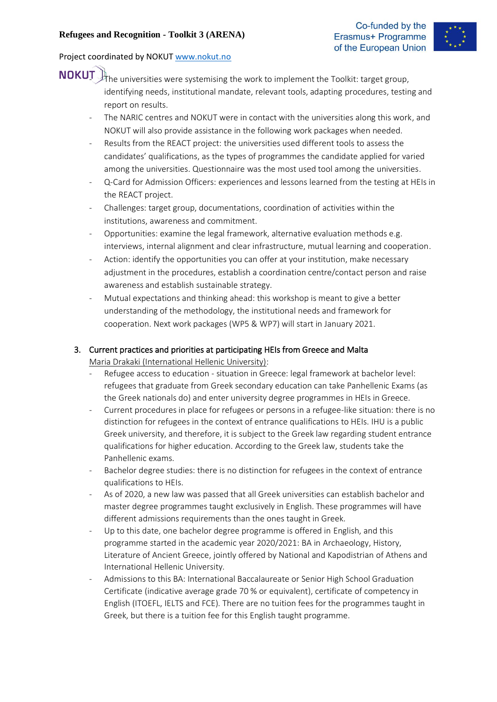

- **NOKUT** the universities were systemising the work to implement the Toolkit: target group, identifying needs, institutional mandate, relevant tools, adapting procedures, testing and report on results.
	- The NARIC centres and NOKUT were in contact with the universities along this work, and NOKUT will also provide assistance in the following work packages when needed.
	- Results from the REACT project: the universities used different tools to assess the candidates' qualifications, as the types of programmes the candidate applied for varied among the universities. Questionnaire was the most used tool among the universities.
	- Q-Card for Admission Officers: experiences and lessons learned from the testing at HEIs in the REACT project.
	- Challenges: target group, documentations, coordination of activities within the institutions, awareness and commitment.
	- Opportunities: examine the legal framework, alternative evaluation methods e.g. interviews, internal alignment and clear infrastructure, mutual learning and cooperation.
	- Action: identify the opportunities you can offer at your institution, make necessary adjustment in the procedures, establish a coordination centre/contact person and raise awareness and establish sustainable strategy.
	- Mutual expectations and thinking ahead: this workshop is meant to give a better understanding of the methodology, the institutional needs and framework for cooperation. Next work packages (WP5 & WP7) will start in January 2021.

## 3. Current practices and priorities at participating HEIs from Greece and Malta Maria Drakaki (International Hellenic University):

- Refugee access to education situation in Greece: legal framework at bachelor level: refugees that graduate from Greek secondary education can take Panhellenic Exams (as the Greek nationals do) and enter university degree programmes in HEIs in Greece.
- Current procedures in place for refugees or persons in a refugee-like situation: there is no distinction for refugees in the context of entrance qualifications to HEIs. IHU is a public Greek university, and therefore, it is subject to the Greek law regarding student entrance qualifications for higher education. According to the Greek law, students take the Panhellenic exams.
- Bachelor degree studies: there is no distinction for refugees in the context of entrance qualifications to HEIs.
- As of 2020, a new law was passed that all Greek universities can establish bachelor and master degree programmes taught exclusively in English. These programmes will have different admissions requirements than the ones taught in Greek.
- Up to this date, one bachelor degree programme is offered in English, and this programme started in the academic year 2020/2021: BA in Archaeology, History, Literature of Ancient Greece, jointly offered by National and Kapodistrian of Athens and International Hellenic University.
- Admissions to this BA: International Baccalaureate or Senior High School Graduation Certificate (indicative average grade 70 % or equivalent), certificate of competency in English (ITOEFL, IELTS and FCE). There are no tuition fees for the programmes taught in Greek, but there is a tuition fee for this English taught programme.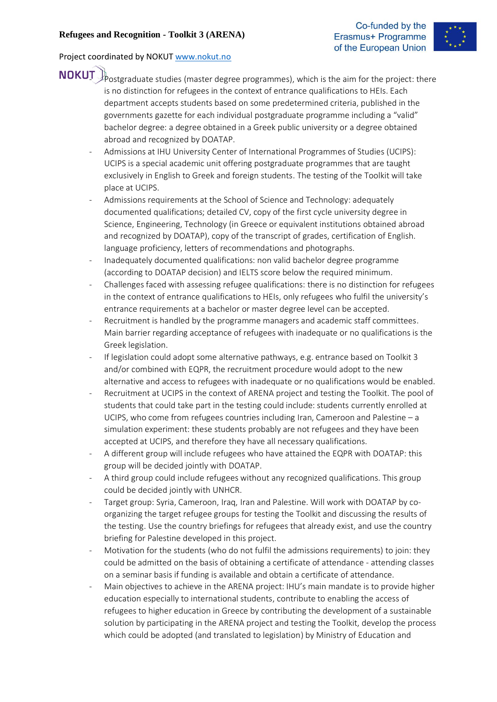

- **NOKUT** Postgraduate studies (master degree programmes), which is the aim for the project: there is no distinction for refugees in the context of entrance qualifications to HEIs. Each department accepts students based on some predetermined criteria, published in the governments gazette for each individual postgraduate programme including a "valid" bachelor degree: a degree obtained in a Greek public university or a degree obtained abroad and recognized by DOATAP.
	- Admissions at IHU University Center of International Programmes of Studies (UCIPS): UCIPS is a special academic unit offering postgraduate programmes that are taught exclusively in English to Greek and foreign students. The testing of the Toolkit will take place at UCIPS.
	- Admissions requirements at the School of Science and Technology: adequately documented qualifications; detailed CV, copy of the first cycle university degree in Science, Engineering, Technology (in Greece or equivalent institutions obtained abroad and recognized by DOATAP), copy of the transcript of grades, certification of English. language proficiency, letters of recommendations and photographs.
	- Inadequately documented qualifications: non valid bachelor degree programme (according to DOATAP decision) and IELTS score below the required minimum.
	- Challenges faced with assessing refugee qualifications: there is no distinction for refugees in the context of entrance qualifications to HEIs, only refugees who fulfil the university's entrance requirements at a bachelor or master degree level can be accepted.
	- Recruitment is handled by the programme managers and academic staff committees. Main barrier regarding acceptance of refugees with inadequate or no qualifications is the Greek legislation.
	- If legislation could adopt some alternative pathways, e.g. entrance based on Toolkit 3 and/or combined with EQPR, the recruitment procedure would adopt to the new alternative and access to refugees with inadequate or no qualifications would be enabled.
	- Recruitment at UCIPS in the context of ARENA project and testing the Toolkit. The pool of students that could take part in the testing could include: students currently enrolled at UCIPS, who come from refugees countries including Iran, Cameroon and Palestine – a simulation experiment: these students probably are not refugees and they have been accepted at UCIPS, and therefore they have all necessary qualifications.
	- A different group will include refugees who have attained the EQPR with DOATAP: this group will be decided jointly with DOATAP.
	- A third group could include refugees without any recognized qualifications. This group could be decided jointly with UNHCR.
	- Target group: Syria, Cameroon, Iraq, Iran and Palestine. Will work with DOATAP by coorganizing the target refugee groups for testing the Toolkit and discussing the results of the testing. Use the country briefings for refugees that already exist, and use the country briefing for Palestine developed in this project.
	- Motivation for the students (who do not fulfil the admissions requirements) to join: they could be admitted on the basis of obtaining a certificate of attendance - attending classes on a seminar basis if funding is available and obtain a certificate of attendance.
	- Main objectives to achieve in the ARENA project: IHU's main mandate is to provide higher education especially to international students, contribute to enabling the access of refugees to higher education in Greece by contributing the development of a sustainable solution by participating in the ARENA project and testing the Toolkit, develop the process which could be adopted (and translated to legislation) by Ministry of Education and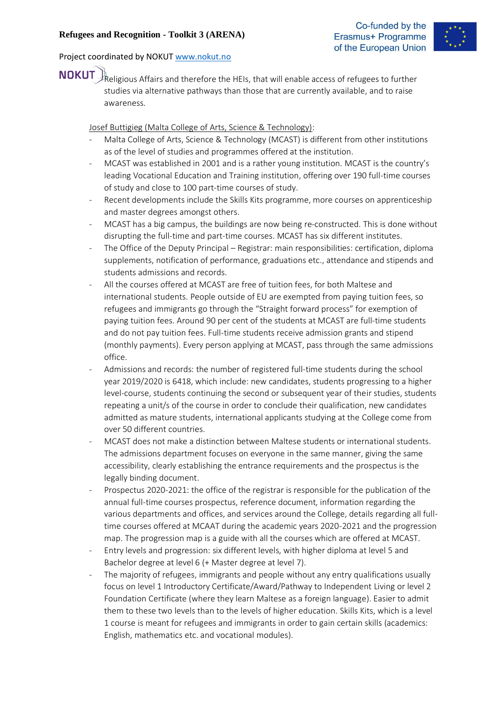

**NOKUT** Religious Affairs and therefore the HEIs, that will enable access of refugees to further studies via alternative pathways than those that are currently available, and to raise awareness.

Josef Buttigieg (Malta College of Arts, Science & Technology):

- Malta College of Arts, Science & Technology (MCAST) is different from other institutions as of the level of studies and programmes offered at the institution.
- MCAST was established in 2001 and is a rather young institution. MCAST is the country's leading Vocational Education and Training institution, offering over 190 full-time courses of study and close to 100 part-time courses of study.
- Recent developments include the Skills Kits programme, more courses on apprenticeship and master degrees amongst others.
- MCAST has a big campus, the buildings are now being re-constructed. This is done without disrupting the full-time and part-time courses. MCAST has six different institutes.
- The Office of the Deputy Principal Registrar: main responsibilities: certification, diploma supplements, notification of performance, graduations etc., attendance and stipends and students admissions and records.
- All the courses offered at MCAST are free of tuition fees, for both Maltese and international students. People outside of EU are exempted from paying tuition fees, so refugees and immigrants go through the "Straight forward process" for exemption of paying tuition fees. Around 90 per cent of the students at MCAST are full-time students and do not pay tuition fees. Full-time students receive admission grants and stipend (monthly payments). Every person applying at MCAST, pass through the same admissions office.
- Admissions and records: the number of registered full-time students during the school year 2019/2020 is 6418, which include: new candidates, students progressing to a higher level-course, students continuing the second or subsequent year of their studies, students repeating a unit/s of the course in order to conclude their qualification, new candidates admitted as mature students, international applicants studying at the College come from over 50 different countries.
- MCAST does not make a distinction between Maltese students or international students. The admissions department focuses on everyone in the same manner, giving the same accessibility, clearly establishing the entrance requirements and the prospectus is the legally binding document.
- Prospectus 2020-2021: the office of the registrar is responsible for the publication of the annual full-time courses prospectus, reference document, information regarding the various departments and offices, and services around the College, details regarding all fulltime courses offered at MCAAT during the academic years 2020-2021 and the progression map. The progression map is a guide with all the courses which are offered at MCAST.
- Entry levels and progression: six different levels, with higher diploma at level 5 and Bachelor degree at level 6 (+ Master degree at level 7).
- The majority of refugees, immigrants and people without any entry qualifications usually focus on level 1 Introductory Certificate/Award/Pathway to Independent Living or level 2 Foundation Certificate (where they learn Maltese as a foreign language). Easier to admit them to these two levels than to the levels of higher education. Skills Kits, which is a level 1 course is meant for refugees and immigrants in order to gain certain skills (academics: English, mathematics etc. and vocational modules).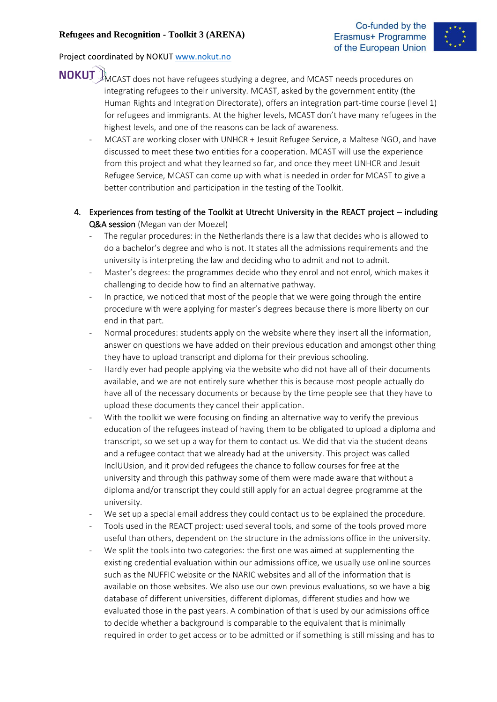

- NOKUT MCAST does not have refugees studying a degree, and MCAST needs procedures on integrating refugees to their university. MCAST, asked by the government entity (the Human Rights and Integration Directorate), offers an integration part-time course (level 1) for refugees and immigrants. At the higher levels, MCAST don't have many refugees in the highest levels, and one of the reasons can be lack of awareness.
	- MCAST are working closer with UNHCR + Jesuit Refugee Service, a Maltese NGO, and have discussed to meet these two entities for a cooperation. MCAST will use the experience from this project and what they learned so far, and once they meet UNHCR and Jesuit Refugee Service, MCAST can come up with what is needed in order for MCAST to give a better contribution and participation in the testing of the Toolkit.
	- 4. Experiences from testing of the Toolkit at Utrecht University in the REACT project including Q&A session (Megan van der Moezel)
		- The regular procedures: in the Netherlands there is a law that decides who is allowed to do a bachelor's degree and who is not. It states all the admissions requirements and the university is interpreting the law and deciding who to admit and not to admit.
		- Master's degrees: the programmes decide who they enrol and not enrol, which makes it challenging to decide how to find an alternative pathway.
		- In practice, we noticed that most of the people that we were going through the entire procedure with were applying for master's degrees because there is more liberty on our end in that part.
		- Normal procedures: students apply on the website where they insert all the information, answer on questions we have added on their previous education and amongst other thing they have to upload transcript and diploma for their previous schooling.
		- Hardly ever had people applying via the website who did not have all of their documents available, and we are not entirely sure whether this is because most people actually do have all of the necessary documents or because by the time people see that they have to upload these documents they cancel their application.
		- With the toolkit we were focusing on finding an alternative way to verify the previous education of the refugees instead of having them to be obligated to upload a diploma and transcript, so we set up a way for them to contact us. We did that via the student deans and a refugee contact that we already had at the university. This project was called InclUUsion, and it provided refugees the chance to follow courses for free at the university and through this pathway some of them were made aware that without a diploma and/or transcript they could still apply for an actual degree programme at the university.
		- We set up a special email address they could contact us to be explained the procedure.
		- Tools used in the REACT project: used several tools, and some of the tools proved more useful than others, dependent on the structure in the admissions office in the university.
		- We split the tools into two categories: the first one was aimed at supplementing the existing credential evaluation within our admissions office, we usually use online sources such as the NUFFIC website or the NARIC websites and all of the information that is available on those websites. We also use our own previous evaluations, so we have a big database of different universities, different diplomas, different studies and how we evaluated those in the past years. A combination of that is used by our admissions office to decide whether a background is comparable to the equivalent that is minimally required in order to get access or to be admitted or if something is still missing and has to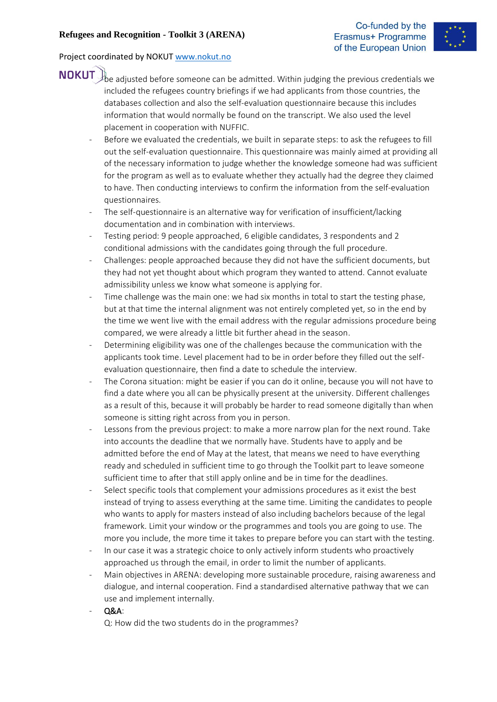

- **NOKUT** be adjusted before someone can be admitted. Within judging the previous credentials we included the refugees country briefings if we had applicants from those countries, the databases collection and also the self-evaluation questionnaire because this includes information that would normally be found on the transcript. We also used the level placement in cooperation with NUFFIC.
	- Before we evaluated the credentials, we built in separate steps: to ask the refugees to fill out the self-evaluation questionnaire. This questionnaire was mainly aimed at providing all of the necessary information to judge whether the knowledge someone had was sufficient for the program as well as to evaluate whether they actually had the degree they claimed to have. Then conducting interviews to confirm the information from the self-evaluation questionnaires.
	- The self-questionnaire is an alternative way for verification of insufficient/lacking documentation and in combination with interviews.
	- Testing period: 9 people approached, 6 eligible candidates, 3 respondents and 2 conditional admissions with the candidates going through the full procedure.
	- Challenges: people approached because they did not have the sufficient documents, but they had not yet thought about which program they wanted to attend. Cannot evaluate admissibility unless we know what someone is applying for.
	- Time challenge was the main one: we had six months in total to start the testing phase, but at that time the internal alignment was not entirely completed yet, so in the end by the time we went live with the email address with the regular admissions procedure being compared, we were already a little bit further ahead in the season.
	- Determining eligibility was one of the challenges because the communication with the applicants took time. Level placement had to be in order before they filled out the selfevaluation questionnaire, then find a date to schedule the interview.
	- The Corona situation: might be easier if you can do it online, because you will not have to find a date where you all can be physically present at the university. Different challenges as a result of this, because it will probably be harder to read someone digitally than when someone is sitting right across from you in person.
	- Lessons from the previous project: to make a more narrow plan for the next round. Take into accounts the deadline that we normally have. Students have to apply and be admitted before the end of May at the latest, that means we need to have everything ready and scheduled in sufficient time to go through the Toolkit part to leave someone sufficient time to after that still apply online and be in time for the deadlines.
	- Select specific tools that complement your admissions procedures as it exist the best instead of trying to assess everything at the same time. Limiting the candidates to people who wants to apply for masters instead of also including bachelors because of the legal framework. Limit your window or the programmes and tools you are going to use. The more you include, the more time it takes to prepare before you can start with the testing.
	- In our case it was a strategic choice to only actively inform students who proactively approached us through the email, in order to limit the number of applicants.
	- Main objectives in ARENA: developing more sustainable procedure, raising awareness and dialogue, and internal cooperation. Find a standardised alternative pathway that we can use and implement internally.
	- Q&A:

Q: How did the two students do in the programmes?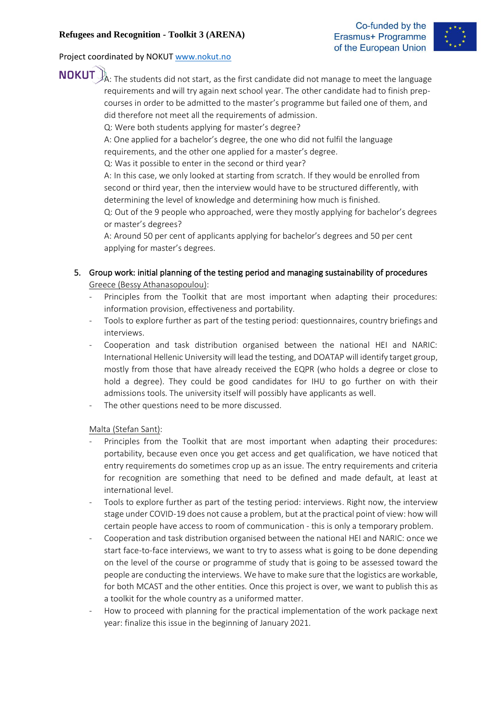

**NOKUT**  $A$ : The students did not start, as the first candidate did not manage to meet the language requirements and will try again next school year. The other candidate had to finish prepcourses in order to be admitted to the master's programme but failed one of them, and did therefore not meet all the requirements of admission.

Q: Were both students applying for master's degree?

A: One applied for a bachelor's degree, the one who did not fulfil the language requirements, and the other one applied for a master's degree.

Q: Was it possible to enter in the second or third year?

A: In this case, we only looked at starting from scratch. If they would be enrolled from second or third year, then the interview would have to be structured differently, with determining the level of knowledge and determining how much is finished.

Q: Out of the 9 people who approached, were they mostly applying for bachelor's degrees or master's degrees?

A: Around 50 per cent of applicants applying for bachelor's degrees and 50 per cent applying for master's degrees.

- 5. Group work: initial planning of the testing period and managing sustainability of procedures Greece (Bessy Athanasopoulou):
	- Principles from the Toolkit that are most important when adapting their procedures: information provision, effectiveness and portability.
	- Tools to explore further as part of the testing period: questionnaires, country briefings and interviews.
	- Cooperation and task distribution organised between the national HEI and NARIC: International Hellenic University will lead the testing, and DOATAP will identify target group, mostly from those that have already received the EQPR (who holds a degree or close to hold a degree). They could be good candidates for IHU to go further on with their admissions tools. The university itself will possibly have applicants as well.
	- The other questions need to be more discussed.

Malta (Stefan Sant):

- Principles from the Toolkit that are most important when adapting their procedures: portability, because even once you get access and get qualification, we have noticed that entry requirements do sometimes crop up as an issue. The entry requirements and criteria for recognition are something that need to be defined and made default, at least at international level.
- Tools to explore further as part of the testing period: interviews. Right now, the interview stage under COVID-19 does not cause a problem, but at the practical point of view: how will certain people have access to room of communication - this is only a temporary problem.
- Cooperation and task distribution organised between the national HEI and NARIC: once we start face-to-face interviews, we want to try to assess what is going to be done depending on the level of the course or programme of study that is going to be assessed toward the people are conducting the interviews. We have to make sure that the logistics are workable, for both MCAST and the other entities. Once this project is over, we want to publish this as a toolkit for the whole country as a uniformed matter.
- How to proceed with planning for the practical implementation of the work package next year: finalize this issue in the beginning of January 2021.